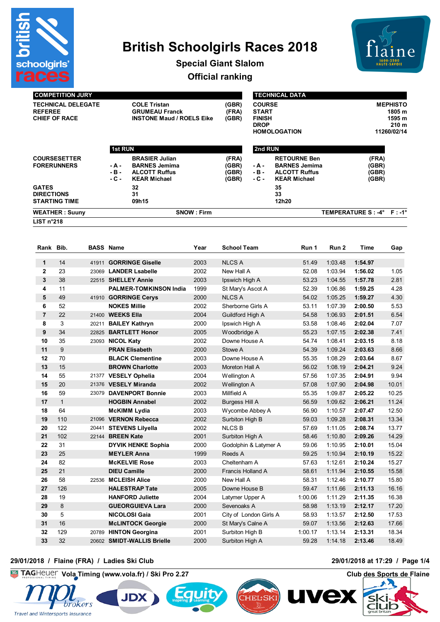

# **British Schoolgirls Races 2018**



**Special Giant Slalom**

**Official ranking**

| <b>COMPETITION JURY</b> |  |
|-------------------------|--|
|                         |  |

**TECHNICAL DELEGATE COLE Tristan (GBR) REFEREE GRUMEAU Franck (FRA) CHIPF OF RACE ACCELS EIKE** 

| <b>MEPHISTO</b>  |
|------------------|
| 1805 m           |
| 1595 m           |
| 210 <sub>m</sub> |
| 11260/02/14      |
|                  |

|                                                           | <b>1st RUN</b>        |                                                                                              |                                  |                          | 2nd RUN                                                                                    |                             |                                  |  |  |
|-----------------------------------------------------------|-----------------------|----------------------------------------------------------------------------------------------|----------------------------------|--------------------------|--------------------------------------------------------------------------------------------|-----------------------------|----------------------------------|--|--|
| <b>COURSESETTER</b><br><b>FORERUNNERS</b>                 | - A -<br>-в-<br>- C - | <b>BRASIER Julian</b><br><b>BARNES Jemima</b><br><b>ALCOTT Ruffus</b><br><b>KEAR Michael</b> | (FRA)<br>(GBR)<br>(GBR)<br>(GBR) | - A -<br>$-B -$<br>- C - | <b>RETOURNE Ben</b><br><b>BARNES Jemima</b><br><b>ALCOTT Ruffus</b><br><b>KEAR Michael</b> |                             | (FRA)<br>(GBR)<br>(GBR)<br>(GBR) |  |  |
| <b>GATES</b><br><b>DIRECTIONS</b><br><b>STARTING TIME</b> |                       | 32<br>31<br>09h15                                                                            |                                  |                          | 35<br>33<br>12h20                                                                          |                             |                                  |  |  |
| <b>WEATHER: Suuny</b>                                     |                       | <b>SNOW: Firm</b>                                                                            |                                  |                          |                                                                                            | TEMPERATURE S : -4° F : -1° |                                  |  |  |
| LIST n°218                                                |                       |                                                                                              |                                  |                          |                                                                                            |                             |                                  |  |  |

| Rank Bib.      |              |       | <b>BASS Name</b>              | Year | <b>School Team</b>       | Run 1   | Run 2   | Time    | Gap   |
|----------------|--------------|-------|-------------------------------|------|--------------------------|---------|---------|---------|-------|
| $\mathbf{1}$   | 14           | 41911 | <b>GORRINGE Giselle</b>       | 2003 | <b>NLCS A</b>            | 51.49   | 1:03.48 | 1:54.97 |       |
| $\mathbf{2}$   | 23           | 23069 | <b>LANDER Lsabelle</b>        | 2002 | New Hall A               | 52.08   | 1:03.94 | 1:56.02 | 1.05  |
| 3              | 38           |       | 22515 SHELLEY Annie           | 2003 | Ipswich High A           | 53.23   | 1:04.55 | 1:57.78 | 2.81  |
| 4              | 11           |       | <b>PALMER-TOMKINSON India</b> | 1999 | St Mary's Ascot A        | 52.39   | 1:06.86 | 1:59.25 | 4.28  |
| 5              | 49           |       | 41910 GORRINGE Cerys          | 2000 | <b>NLCS A</b>            | 54.02   | 1:05.25 | 1:59.27 | 4.30  |
| 6              | 52           |       | <b>NOKES Millie</b>           | 2002 | Sherborne Girls A        | 53.11   | 1:07.39 | 2:00.50 | 5.53  |
| $\overline{7}$ | 22           |       | 21400 WEEKS Ella              | 2004 | Guildford High A         | 54.58   | 1:06.93 | 2:01.51 | 6.54  |
| 8              | 3            | 20211 | <b>BAILEY Kathryn</b>         | 2000 | Ipswich High A           | 53.58   | 1:08.46 | 2:02.04 | 7.07  |
| 9              | 34           | 22825 | <b>BARTLETT Honor</b>         | 2005 | Woodbridge A             | 55.23   | 1:07.15 | 2:02.38 | 7.41  |
| 10             | 35           | 23093 | <b>NICOL Katy</b>             | 2002 | Downe House A            | 54.74   | 1:08.41 | 2:03.15 | 8.18  |
| 11             | 9            |       | <b>PRAN Elisabeth</b>         | 2000 | Stowe A                  | 54.39   | 1:09.24 | 2:03.63 | 8.66  |
| 12             | 70           |       | <b>BLACK Clementine</b>       | 2003 | Downe House A            | 55.35   | 1:08.29 | 2:03.64 | 8.67  |
| 13             | 15           |       | <b>BROWN Charlotte</b>        | 2003 | Moreton Hall A           | 56.02   | 1:08.19 | 2:04.21 | 9.24  |
| 14             | 55           |       | 21377 VESELY Ophelia          | 2004 | Wellington A             | 57.56   | 1:07.35 | 2:04.91 | 9.94  |
| 15             | 20           |       | 21376 VESELY Miranda          | 2002 | Wellington A             | 57.08   | 1:07.90 | 2:04.98 | 10.01 |
| 16             | 59           |       | 23079 DAVENPORT Bonnie        | 2003 | Millfield A              | 55.35   | 1:09.87 | 2:05.22 | 10.25 |
| 17             | $\mathbf{1}$ |       | <b>HOGBIN Annabel</b>         | 2002 | <b>Burgess Hill A</b>    | 56.59   | 1:09.62 | 2:06.21 | 11.24 |
| 18             | 64           |       | <b>McKIMM Lydia</b>           | 2003 | Wycombe Abbey A          | 56.90   | 1:10.57 | 2:07.47 | 12.50 |
| 19             | 110          |       | 21096 VERNON Rebecca          | 2002 | Surbiton High B          | 59.03   | 1:09.28 | 2:08.31 | 13.34 |
| 20             | 122          |       | 20441 STEVENS Lilyella        | 2002 | <b>NLCSB</b>             | 57.69   | 1:11.05 | 2:08.74 | 13.77 |
| 21             | 102          |       | 22144 BREEN Kate              | 2001 | Surbiton High A          | 58.46   | 1:10.80 | 2:09.26 | 14.29 |
| 22             | 31           |       | <b>DYVIK HENKE Sophia</b>     | 2000 | Godolphin & Latymer A    | 59.06   | 1:10.95 | 2:10.01 | 15.04 |
| 23             | 25           |       | <b>MEYLER Anna</b>            | 1999 | Reeds A                  | 59.25   | 1:10.94 | 2:10.19 | 15.22 |
| 24             | 82           |       | <b>McKELVIE Rose</b>          | 2003 | Cheltenham A             | 57.63   | 1:12.61 | 2:10.24 | 15.27 |
| 25             | 21           |       | <b>DIEU Camille</b>           | 2000 | <b>Francis Holland A</b> | 58.61   | 1:11.94 | 2:10.55 | 15.58 |
| 26             | 58           |       | 22536 MCLEISH Alice           | 2000 | New Hall A               | 58.31   | 1:12.46 | 2:10.77 | 15.80 |
| 27             | 126          |       | <b>HALESTRAP Tate</b>         | 2005 | Downe House B            | 59.47   | 1:11.66 | 2:11.13 | 16.16 |
| 28             | 19           |       | <b>HANFORD Juliette</b>       | 2004 | Latymer Upper A          | 1:00.06 | 1:11.29 | 2:11.35 | 16.38 |
| 29             | 8            |       | <b>GUEORGUIEVA Lara</b>       | 2000 | Sevenoaks A              | 58.98   | 1:13.19 | 2:12.17 | 17.20 |
| 30             | 5            |       | <b>NICOLOSI Gaia</b>          | 2001 | City of London Girls A   | 58.93   | 1:13.57 | 2:12.50 | 17.53 |
| 31             | 16           |       | <b>McLINTOCK Georgie</b>      | 2000 | St Mary's Calne A        | 59.07   | 1:13.56 | 2:12.63 | 17.66 |
| 32             | 129          | 20789 | <b>HINTON Georgina</b>        | 2001 | Surbiton High B          | 1:00.17 | 1:13.14 | 2:13.31 | 18.34 |
| 33             | 32           |       | 20602 SMIDT-WALLIS Brielle    | 2000 | Surbiton High A          | 59.28   | 1:14.18 | 2:13.46 | 18.49 |

#### **29/01/2018 / Flaine (FRA) / Ladies Ski Club 29/01/2018 at 17:29 / Page 1/4**





# **JDX**



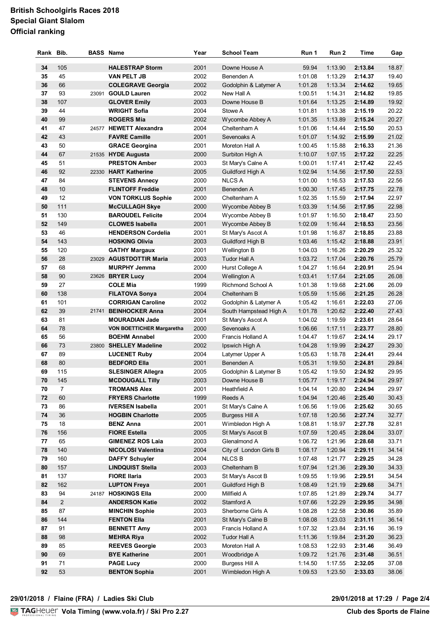## **British Schoolgirls Races 2018 Special Giant Slalom Official ranking**

| Rank | Bib.           | <b>BASS Name</b>                 | Year | <b>School Team</b>       | Run 1   | Run 2              | Time    | Gap   |
|------|----------------|----------------------------------|------|--------------------------|---------|--------------------|---------|-------|
| 34   | 105            | <b>HALESTRAP Storm</b>           | 2001 | Downe House A            | 59.94   | 1:13.90            | 2:13.84 | 18.87 |
| 35   | 45             | <b>VAN PELT JB</b>               | 2002 | Benenden A               | 1:01.08 | 1:13.29            | 2:14.37 | 19.40 |
| 36   | 66             | <b>COLEGRAVE Georgia</b>         | 2002 | Godolphin & Latymer A    | 1:01.28 | 1:13.34            | 2:14.62 | 19.65 |
| 37   | 93             | 23091 GOULD Lauren               | 2002 | New Hall A               | 1:00.51 | 1:14.31            | 2:14.82 | 19.85 |
| 38   | 107            | <b>GLOVER Emily</b>              | 2003 | Downe House B            | 1:01.64 | 1:13.25            | 2:14.89 | 19.92 |
| 39   | 44             | <b>WRIGHT Sofia</b>              | 2004 | Stowe A                  | 1:01.81 | 1:13.38            | 2:15.19 | 20.22 |
| 40   | 99             | <b>ROGERS Mia</b>                | 2002 | Wycombe Abbey A          | 1:01.35 | 1:13.89            | 2:15.24 | 20.27 |
| 41   | 47             | 24577 HEWETT Alexandra           | 2004 | Cheltenham A             | 1:01.06 | 1:14.44            | 2:15.50 | 20.53 |
|      | 43             |                                  |      |                          |         |                    |         |       |
| 42   | 50             | <b>FAVRE Camille</b>             | 2001 | Sevenoaks A              | 1:01.07 | 1:14.92<br>1:15.88 | 2:15.99 | 21.02 |
| 43   |                | <b>GRACE Georgina</b>            | 2001 | Moreton Hall A           | 1:00.45 |                    | 2:16.33 | 21.36 |
| 44   | 67             | 21535 HYDE Augusta               | 2000 | Surbiton High A          | 1:10.07 | 1:07.15            | 2:17.22 | 22.25 |
| 45   | 51             | <b>PRESTON Amber</b>             | 2003 | St Mary's Calne A        | 1:00.01 | 1:17.41            | 2:17.42 | 22.45 |
| 46   | 92             | 22330 HART Katherine             | 2005 | Guildford High A         | 1:02.94 | 1:14.56            | 2:17.50 | 22.53 |
| 47   | 84             | <b>STEVENS Annecy</b>            | 2000 | <b>NLCS A</b>            | 1:01.00 | 1:16.53            | 2:17.53 | 22.56 |
| 48   | 10             | <b>FLINTOFF Freddie</b>          | 2001 | Benenden A               | 1:00.30 | 1:17.45            | 2:17.75 | 22.78 |
| 49   | 12             | <b>VON TORKLUS Sophie</b>        | 2000 | Cheltenham A             | 1:02.35 | 1:15.59            | 2:17.94 | 22.97 |
| 50   | 111            | <b>McCULLAGH Skye</b>            | 2000 | Wycombe Abbey B          | 1:03.39 | 1:14.56            | 2:17.95 | 22.98 |
| 51   | 130            | <b>BAROUDEL Felicite</b>         | 2004 | Wycombe Abbey B          | 1:01.97 | 1:16.50            | 2:18.47 | 23.50 |
| 52   | 149            | <b>CLOWES Isabella</b>           | 2001 | Wycombe Abbey B          | 1:02.09 | 1:16.44            | 2:18.53 | 23.56 |
| 53   | 46             | <b>HENDERSON Cordelia</b>        | 2001 | St Mary's Ascot A        | 1:01.98 | 1:16.87            | 2:18.85 | 23.88 |
| 54   | 143            | <b>HOSKING Olivia</b>            | 2003 | Guildford High B         | 1:03.46 | 1:15.42            | 2:18.88 | 23.91 |
| 55   | 120            | <b>GATHY Margaux</b>             | 2001 | Wellington B             | 1:04.03 | 1:16.26            | 2:20.29 | 25.32 |
| 56   | 28             | 23029 AGUSTDOTTIR Maria          | 2003 | <b>Tudor Hall A</b>      | 1:03.72 | 1:17.04            | 2:20.76 | 25.79 |
| 57   | 68             | <b>MURPHY Jemma</b>              | 2000 | Hurst College A          | 1:04.27 | 1:16.64            | 2:20.91 | 25.94 |
| 58   | 90             | 23626 BRYER Lucy                 | 2004 | Wellington A             | 1:03.41 | 1:17.64            | 2:21.05 | 26.08 |
| 59   | 27             | <b>COLE Mia</b>                  | 1999 | <b>Richmond School A</b> | 1:01.38 | 1:19.68            | 2:21.06 | 26.09 |
| 60   | 138            | <b>FILATOVA Sonya</b>            | 2004 | Cheltenham B             | 1:05.59 | 1:15.66            | 2:21.25 | 26.28 |
| 61   | 101            | <b>CORRIGAN Caroline</b>         | 2002 | Godolphin & Latymer A    | 1:05.42 | 1:16.61            | 2:22.03 | 27.06 |
| 62   | 39             | 21741 BEINHOCKER Anna            | 2004 | South Hampstead High A   | 1:01.78 | 1:20.62            | 2:22.40 | 27.43 |
| 63   | 81             | <b>MOURADIAN Jade</b>            | 2001 | St Mary's Ascot A        | 1:04.02 | 1:19.59            | 2:23.61 | 28.64 |
| 64   | 78             | <b>VON BOETTICHER Margaretha</b> | 2000 | Sevenoaks A              | 1:06.66 | 1:17.11            | 2:23.77 | 28.80 |
| 65   | 56             | <b>BOEHM Annabel</b>             | 2000 | Francis Holland A        | 1:04.47 | 1:19.67            | 2:24.14 | 29.17 |
| 66   | 73             | 23800 SHELLEY Madeline           | 2002 | Ipswich High A           | 1:04.28 | 1:19.99            | 2:24.27 | 29.30 |
| 67   | 89             | <b>LUCENET Ruby</b>              | 2004 | Latymer Upper A          | 1:05.63 | 1:18.78            | 2:24.41 | 29.44 |
| 68   | 80             | <b>BEDFORD Ella</b>              | 2001 | Benenden A               | 1:05.31 | 1:19.50            | 2:24.81 | 29.84 |
| 69   | 115            | <b>SLESINGER Allegra</b>         | 2005 | Godolphin & Latymer B    | 1:05.42 | 1:19.50            | 2:24.92 | 29.95 |
| 70   | 145            | <b>MCDOUGALL Tilly</b>           | 2003 | Downe House B            | 1:05.77 | 1:19.17            | 2:24.94 | 29.97 |
| 70   | $\overline{7}$ | <b>TROMANS Alex</b>              | 2001 | Heathfield A             | 1:04.14 | 1:20.80            | 2:24.94 | 29.97 |
| 72   | 60             | <b>FRYERS Charlotte</b>          | 1999 | Reeds A                  | 1:04.94 | 1:20.46            | 2:25.40 | 30.43 |
| 73   | 86             | <b>IVERSEN Isabella</b>          | 2001 | St Mary's Calne A        | 1:06.56 | 1:19.06            | 2:25.62 | 30.65 |
| 74   | 36             | <b>HOGBIN Charlotte</b>          | 2005 | <b>Burgess Hill A</b>    | 1:07.18 | 1:20.56            | 2:27.74 | 32.77 |
| 75   | 18             | <b>BENZ Anna</b>                 | 2001 | Wimbledon High A         | 1:08.81 | 1:18.97            | 2:27.78 | 32.81 |
| 76   | 156            | <b>FIORE Estella</b>             | 2005 | St Mary's Ascot B        | 1:07.59 | 1:20.45            | 2:28.04 | 33.07 |
| 77   | 65             | <b>GIMENEZ ROS Laia</b>          | 2003 | Glenalmond A             | 1:06.72 | 1:21.96            | 2:28.68 | 33.71 |
| 78   | 140            | <b>NICOLOSI Valentina</b>        | 2004 | City of London Girls B   | 1:08.17 | 1:20.94            | 2:29.11 | 34.14 |
| 79   | 160            | <b>DAFFY Schuyler</b>            | 2004 | <b>NLCS B</b>            | 1:07.48 | 1:21.77            | 2:29.25 | 34.28 |
| 80   | 157            | <b>LINDQUIST Stella</b>          | 2003 | Cheltenham B             | 1:07.94 | 1:21.36            | 2:29.30 | 34.33 |
| 81   | 137            | <b>FIORE Ilaria</b>              | 2003 | St Mary's Ascot B        | 1:09.55 | 1:19.96            | 2:29.51 | 34.54 |
| 82   | 162            | <b>LUPTON Freya</b>              | 2001 | Guildford High B         | 1:08.49 | 1:21.19            | 2:29.68 | 34.71 |
| 83   | 94             | 24187 HOSKINGS Ella              | 2000 | Millfield A              | 1:07.85 | 1:21.89            | 2:29.74 | 34.77 |
| 84   | $\overline{c}$ | <b>ANDERSON Katie</b>            | 2002 | Stamford A               | 1:07.66 | 1:22.29            | 2:29.95 | 34.98 |
|      | 87             |                                  |      |                          |         |                    |         |       |
| 85   |                | <b>MINCHIN Sophie</b>            | 2003 | Sherborne Girls A        | 1:08.28 | 1:22.58            | 2:30.86 | 35.89 |
| 86   | 144            | <b>FENTON Ella</b>               | 2001 | St Mary's Calne B        | 1:08.08 | 1:23.03            | 2:31.11 | 36.14 |
| 87   | 91             | <b>BENNETT Amy</b>               | 2003 | Francis Holland A        | 1:07.32 | 1:23.84            | 2:31.16 | 36.19 |
| 88   | 98             | <b>MEHRA Riya</b>                | 2002 | <b>Tudor Hall A</b>      | 1:11.36 | 1:19.84            | 2:31.20 | 36.23 |
| 89   | 85             | <b>REEVES Georgie</b>            | 2003 | Moreton Hall A           | 1:08.53 | 1:22.93            | 2:31.46 | 36.49 |
| 90   | 69             | <b>BYE Katherine</b>             | 2001 | Woodbridge A             | 1:09.72 | 1:21.76            | 2:31.48 | 36.51 |
| 91   | 71             | <b>PAGE Lucy</b>                 | 2000 | <b>Burgess Hill A</b>    | 1:14.50 | 1:17.55            | 2:32.05 | 37.08 |
| 92   | 53             | <b>BENTON Sophia</b>             | 2001 | Wimbledon High A         | 1:09.53 | 1:23.50            | 2:33.03 | 38.06 |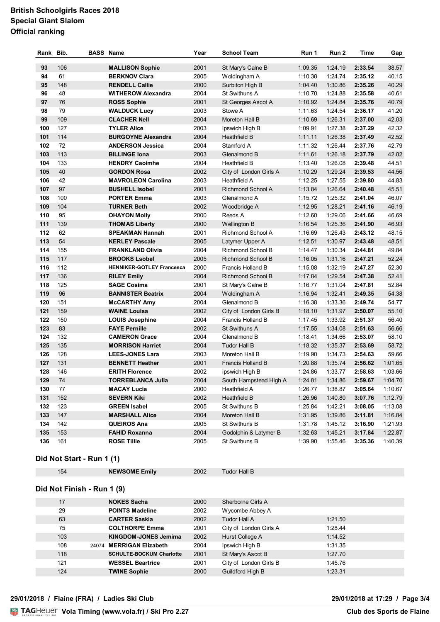## **British Schoolgirls Races 2018 Special Giant Slalom Official ranking**

| Rank | Bib. | <b>BASS Name</b>                                 | Year         | <b>School Team</b>                   | Run 1   | Run 2              | <b>Time</b> | Gap            |
|------|------|--------------------------------------------------|--------------|--------------------------------------|---------|--------------------|-------------|----------------|
| 93   | 106  | <b>MALLISON Sophie</b>                           | 2001         | St Mary's Calne B                    | 1:09.35 | 1:24.19            | 2:33.54     | 38.57          |
| 94   | 61   | <b>BERKNOV Clara</b>                             | 2005         | Woldingham A                         | 1:10.38 | 1:24.74            | 2:35.12     | 40.15          |
| 95   | 148  | <b>RENDELL Callie</b>                            | 2000         | Surbiton High B                      | 1:04.40 | 1:30.86            | 2:35.26     | 40.29          |
| 96   | 48   | <b>WITHEROW Alexandra</b>                        | 2004         | St Swithuns A                        | 1:10.70 | 1:24.88            | 2:35.58     | 40.61          |
| 97   | 76   | <b>ROSS Sophie</b>                               | 2001         | St Georges Ascot A                   | 1:10.92 | 1:24.84            | 2:35.76     | 40.79          |
| 98   | 79   | <b>WALDUCK Lucy</b>                              | 2003         | Stowe A                              | 1:11.63 | 1:24.54            | 2:36.17     | 41.20          |
| 99   | 109  | <b>CLACHER Nell</b>                              | 2004         | Moreton Hall B                       | 1:10.69 | 1:26.31            | 2:37.00     | 42.03          |
| 100  | 127  | <b>TYLER Alice</b>                               | 2003         | Ipswich High B                       | 1:09.91 | 1:27.38            | 2:37.29     | 42.32          |
| 101  | 114  | <b>BURGOYNE Alexandra</b>                        | 2004         | <b>Heathfield B</b>                  | 1:11.11 | 1:26.38            | 2:37.49     | 42.52          |
| 102  | 72   | <b>ANDERSON Jessica</b>                          | 2004         | Stamford A                           | 1:11.32 | 1:26.44            | 2:37.76     | 42.79          |
| 103  | 113  | <b>BILLINGE Iona</b>                             | 2003         | Glenalmond B                         | 1:11.61 | 1:26.18            | 2:37.79     | 42.82          |
| 104  | 133  | <b>HENDRY Caoimhe</b>                            | 2004         | <b>Heathfield B</b>                  | 1:13.40 | 1:26.08            | 2:39.48     | 44.51          |
| 105  | 40   | <b>GORDON Rosa</b>                               | 2002         | City of London Girls A               | 1:10.29 | 1:29.24            | 2:39.53     | 44.56          |
| 106  | 42   | <b>MAVROLEON Carolina</b>                        | 2003         | Heathfield A                         | 1:12.25 | 1:27.55            | 2:39.80     | 44.83          |
| 107  | 97   | <b>BUSHELL Isobel</b>                            | 2001         | <b>Richmond School A</b>             | 1:13.84 | 1:26.64            | 2:40.48     | 45.51          |
| 108  | 100  | <b>PORTER Emma</b>                               | 2003         | Glenalmond A                         | 1:15.72 | 1:25.32            | 2:41.04     | 46.07          |
| 109  | 104  | <b>TURNER Beth</b>                               | 2002         | Woodbridge A                         | 1:12.95 | 1:28.21            | 2:41.16     | 46.19          |
| 110  | 95   | <b>OHAYON Molly</b>                              | 2000         | Reeds A                              | 1:12.60 | 1:29.06            | 2:41.66     | 46.69          |
| 111  | 139  |                                                  | 2000         |                                      |         |                    |             |                |
| 112  | 62   | <b>THOMAS Liberty</b><br><b>SPEAKMAN Hannah</b>  |              | Wellington B                         | 1:16.54 | 1:25.36<br>1:26.43 | 2:41.90     | 46.93<br>48.15 |
| 113  | 54   |                                                  | 2001         | Richmond School A                    | 1:16.69 |                    | 2:43.12     |                |
| 114  | 155  | <b>KERLEY Pascale</b><br><b>FRANKLAND Olivia</b> | 2005<br>2004 | Latymer Upper A<br>Richmond School B | 1:12.51 | 1:30.97            | 2:43.48     | 48.51<br>49.84 |
| 115  | 117  |                                                  |              |                                      | 1:14.47 | 1:30.34            | 2:44.81     |                |
|      |      | <b>BROOKS Lsobel</b>                             | 2005         | <b>Richmond School B</b>             | 1:16.05 | 1:31.16            | 2:47.21     | 52.24          |
| 116  | 112  | <b>HENNIKER-GOTLEY Francesca</b>                 | 2000         | Francis Holland B                    | 1:15.08 | 1:32.19            | 2:47.27     | 52.30          |
| 117  | 136  | <b>RILEY Emily</b>                               | 2004         | Richmond School B                    | 1:17.84 | 1:29.54            | 2:47.38     | 52.41          |
| 118  | 125  | <b>SAGE Cosima</b>                               | 2001         | St Mary's Calne B                    | 1:16.77 | 1:31.04            | 2:47.81     | 52.84          |
| 119  | 96   | <b>BANNISTER Beatrix</b>                         | 2004         | Woldingham A                         | 1:16.94 | 1:32.41            | 2:49.35     | 54.38          |
| 120  | 151  | <b>McCARTHY Amy</b>                              | 2004         | Glenalmond B                         | 1:16.38 | 1:33.36            | 2:49.74     | 54.77          |
| 121  | 159  | <b>WAINE Louisa</b>                              | 2002         | City of London Girls B               | 1:18.10 | 1.31.97            | 2:50.07     | 55.10          |
| 122  | 150  | <b>LOUIS Josephine</b>                           | 2004         | Francis Holland B                    | 1:17.45 | 1:33.92            | 2:51.37     | 56.40          |
| 123  | 83   | <b>FAYE Pernille</b>                             | 2002         | <b>St Swithuns A</b>                 | 1:17.55 | 1:34.08            | 2:51.63     | 56.66          |
| 124  | 132  | <b>CAMERON Grace</b>                             | 2004         | Glenalmond B                         | 1:18.41 | 1:34.66            | 2:53.07     | 58.10          |
| 125  | 135  | <b>MORRISON Harriet</b>                          | 2004         | <b>Tudor Hall B</b>                  | 1:18.32 | 1:35.37            | 2:53.69     | 58.72          |
| 126  | 128  | <b>LEES-JONES Lara</b>                           | 2003         | Moreton Hall B                       | 1:19.90 | 1:34.73            | 2:54.63     | 59.66          |
| 127  | 131  | <b>BENNETT Heather</b>                           | 2001         | Francis Holland B                    | 1:20.88 | 1:35.74            | 2:56.62     | 1:01.65        |
| 128  | 146  | <b>ERITH Florence</b>                            | 2002         | Ipswich High B                       | 1:24.86 | 1:33.77            | 2:58.63     | 1:03.66        |
| 129  | 74   | <b>TORREBLANCA Julia</b>                         | 2004         | South Hampstead High A               | 1:24.81 | 1:34.86            | 2:59.67     | 1:04.70        |
| 130  | 77   | <b>MACAY Lucia</b>                               | 2000         | Heathfield A                         | 1:26.77 | 1:38.87            | 3:05.64     | 1:10.67        |
| 131  | 152  | <b>SEVERN Kiki</b>                               | 2002         | Heathfield B                         | 1:26.96 | 1:40.80            | 3:07.76     | 1:12.79        |
| 132  | 123  | <b>GREEN Isabel</b>                              | 2005         | St Swithuns B                        | 1:25.84 | 1:42.21            | 3:08.05     | 1:13.08        |
| 133  | 147  | <b>MARSHALL Alice</b>                            | 2004         | Moreton Hall B                       | 1:31.95 | 1:39.86            | 3:11.81     | 1:16.84        |
| 134  | 142  | QUEIROS Ana                                      | 2005         | St Swithuns B                        | 1:31.78 | 1:45.12            | 3:16.90     | 1:21.93        |
| 135  | 153  | <b>FAHID Roxanna</b>                             | 2004         | Godolphin & Latymer B                | 1:32.63 | 1:45.21            | 3:17.84     | 1:22.87        |
| 136  | 161  | <b>ROSE Tillie</b>                               | 2005         | St Swithuns B                        | 1:39.90 | 1:55.46            | 3:35.36     | 1:40.39        |

#### **Did Not Start - Run 1 (1)**

| 154 | <b>NEWSOME Emily</b> |  |
|-----|----------------------|--|
|-----|----------------------|--|

2002 Tudor Hall B

#### **Did Not Finish - Run 1 (9)**

| 17  | <b>NOKES Sacha</b>              | 2000 | Sherborne Girls A       |         |
|-----|---------------------------------|------|-------------------------|---------|
| 29  | <b>POINTS Madeline</b>          | 2002 | Wycombe Abbey A         |         |
| 63  | <b>CARTER Saskia</b>            | 2002 | Tudor Hall A            | 1:21.50 |
| 75  | <b>COLTHORPE Emma</b>           | 2001 | City of London Girls A  | 1:28.44 |
| 103 | <b>KINGDOM-JONES Jemima</b>     | 2002 | <b>Hurst College A</b>  | 1:14.52 |
| 108 | 24074 MERRIGAN Elizabeth        | 2004 | Ipswich High B          | 1:31.35 |
| 118 | <b>SCHULTE-BOCKUM Charlotte</b> | 2001 | St Mary's Ascot B       | 1:27.70 |
| 121 | <b>WESSEL Beartrice</b>         | 2001 | City of London Girls B  | 1:45.76 |
| 124 | <b>TWINE Sophie</b>             | 2000 | <b>Guildford High B</b> | 1:23.31 |